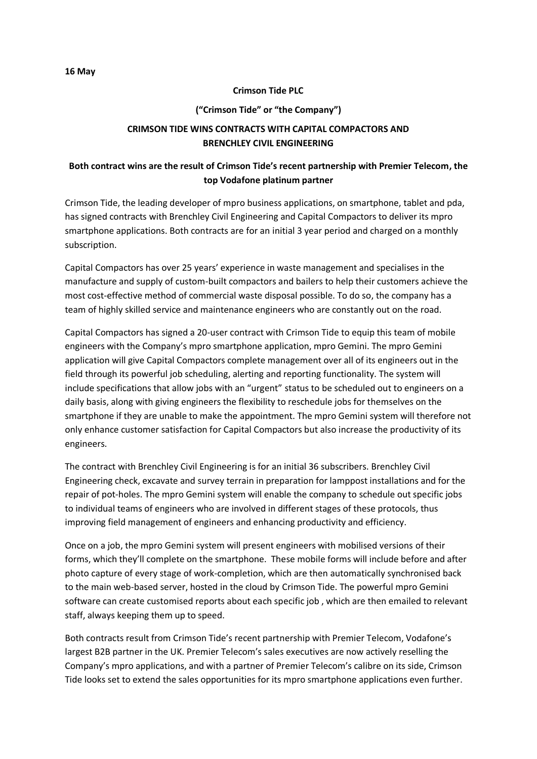## **Crimson Tide PLC**

## **("Crimson Tide" or "the Company")**

## **CRIMSON TIDE WINS CONTRACTS WITH CAPITAL COMPACTORS AND BRENCHLEY CIVIL ENGINEERING**

## **Both contract wins are the result of Crimson Tide's recent partnership with Premier Telecom, the top Vodafone platinum partner**

Crimson Tide, the leading developer of mpro business applications, on smartphone, tablet and pda, has signed contracts with Brenchley Civil Engineering and Capital Compactors to deliver its mpro smartphone applications. Both contracts are for an initial 3 year period and charged on a monthly subscription.

Capital Compactors has over 25 years' experience in waste management and specialises in the manufacture and supply of custom-built compactors and bailers to help their customers achieve the most cost-effective method of commercial waste disposal possible. To do so, the company has a team of highly skilled service and maintenance engineers who are constantly out on the road.

Capital Compactors has signed a 20-user contract with Crimson Tide to equip this team of mobile engineers with the Company's mpro smartphone application, mpro Gemini. The mpro Gemini application will give Capital Compactors complete management over all of its engineers out in the field through its powerful job scheduling, alerting and reporting functionality. The system will include specifications that allow jobs with an "urgent" status to be scheduled out to engineers on a daily basis, along with giving engineers the flexibility to reschedule jobs for themselves on the smartphone if they are unable to make the appointment. The mpro Gemini system will therefore not only enhance customer satisfaction for Capital Compactors but also increase the productivity of its engineers.

The contract with Brenchley Civil Engineering is for an initial 36 subscribers. Brenchley Civil Engineering check, excavate and survey terrain in preparation for lamppost installations and for the repair of pot-holes. The mpro Gemini system will enable the company to schedule out specific jobs to individual teams of engineers who are involved in different stages of these protocols, thus improving field management of engineers and enhancing productivity and efficiency.

Once on a job, the mpro Gemini system will present engineers with mobilised versions of their forms, which they'll complete on the smartphone. These mobile forms will include before and after photo capture of every stage of work-completion, which are then automatically synchronised back to the main web-based server, hosted in the cloud by Crimson Tide. The powerful mpro Gemini software can create customised reports about each specific job , which are then emailed to relevant staff, always keeping them up to speed.

Both contracts result from Crimson Tide's recent partnership with Premier Telecom, Vodafone's largest B2B partner in the UK. Premier Telecom's sales executives are now actively reselling the Company's mpro applications, and with a partner of Premier Telecom's calibre on its side, Crimson Tide looks set to extend the sales opportunities for its mpro smartphone applications even further.